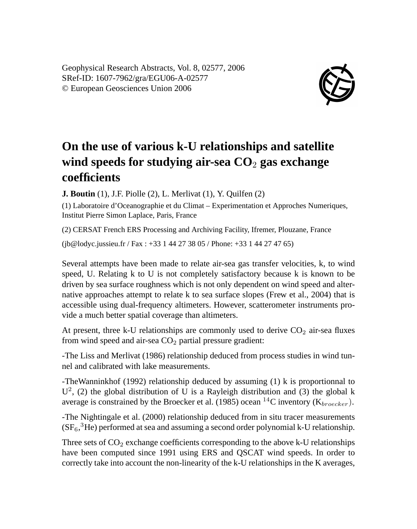Geophysical Research Abstracts, Vol. 8, 02577, 2006 SRef-ID: 1607-7962/gra/EGU06-A-02577 © European Geosciences Union 2006



## **On the use of various k-U relationships and satellite** wind speeds for studying air-sea  $CO<sub>2</sub>$  gas exchange **coefficients**

**J. Boutin** (1), J.F. Piolle (2), L. Merlivat (1), Y. Quilfen (2)

(1) Laboratoire d'Oceanographie et du Climat – Experimentation et Approches Numeriques, Institut Pierre Simon Laplace, Paris, France

(2) CERSAT French ERS Processing and Archiving Facility, Ifremer, Plouzane, France

(jb@lodyc.jussieu.fr / Fax : +33 1 44 27 38 05 / Phone: +33 1 44 27 47 65)

Several attempts have been made to relate air-sea gas transfer velocities, k, to wind speed, U. Relating k to U is not completely satisfactory because k is known to be driven by sea surface roughness which is not only dependent on wind speed and alternative approaches attempt to relate k to sea surface slopes (Frew et al., 2004) that is accessible using dual-frequency altimeters. However, scatterometer instruments provide a much better spatial coverage than altimeters.

At present, three k-U relationships are commonly used to derive  $CO<sub>2</sub>$  air-sea fluxes from wind speed and air-sea  $CO<sub>2</sub>$  partial pressure gradient:

-The Liss and Merlivat (1986) relationship deduced from process studies in wind tunnel and calibrated with lake measurements.

-TheWanninkhof (1992) relationship deduced by assuming (1) k is proportionnal to  $U^2$ , (2) the global distribution of U is a Rayleigh distribution and (3) the global k average is constrained by the Broecker et al. (1985) ocean <sup>14</sup>C inventory ( $K_{brcerker}$ ).

-The Nightingale et al. (2000) relationship deduced from in situ tracer measurements  $(SF_6, {}^3He)$  performed at sea and assuming a second order polynomial k-U relationship.

Three sets of  $CO<sub>2</sub>$  exchange coefficients corresponding to the above k-U relationships have been computed since 1991 using ERS and QSCAT wind speeds. In order to correctly take into account the non-linearity of the k-U relationships in the K averages,